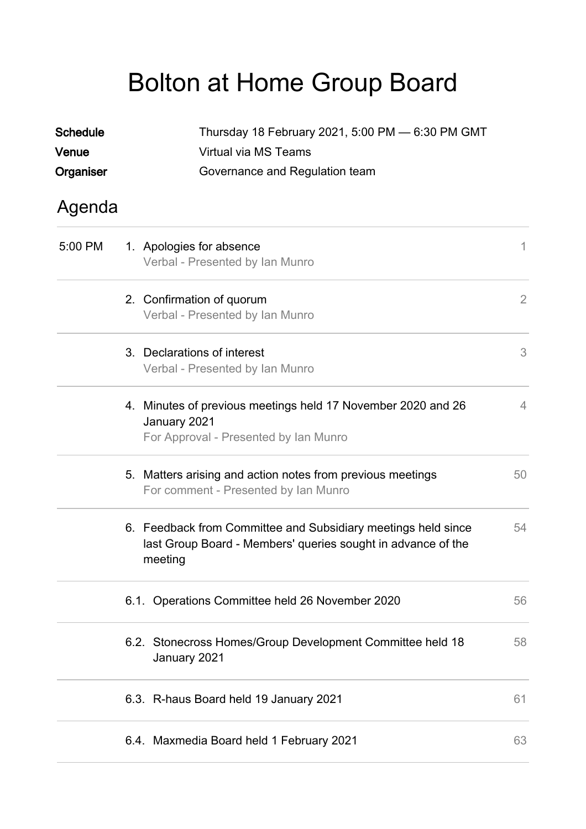## Bolton at Home Group Board

| <b>Schedule</b><br>Venue | Thursday 18 February 2021, 5:00 PM - 6:30 PM GMT<br>Virtual via MS Teams                                                                 |                |  |  |
|--------------------------|------------------------------------------------------------------------------------------------------------------------------------------|----------------|--|--|
| Organiser                | Governance and Regulation team                                                                                                           |                |  |  |
| Agenda                   |                                                                                                                                          |                |  |  |
| 5:00 PM                  | 1. Apologies for absence<br>Verbal - Presented by Ian Munro                                                                              | 1              |  |  |
|                          | 2. Confirmation of quorum<br>Verbal - Presented by Ian Munro                                                                             | 2              |  |  |
|                          | 3. Declarations of interest<br>Verbal - Presented by Ian Munro                                                                           | 3              |  |  |
|                          | 4. Minutes of previous meetings held 17 November 2020 and 26<br>January 2021<br>For Approval - Presented by Ian Munro                    | $\overline{4}$ |  |  |
|                          | 5. Matters arising and action notes from previous meetings<br>For comment - Presented by Ian Munro                                       | 50             |  |  |
|                          | 6. Feedback from Committee and Subsidiary meetings held since<br>last Group Board - Members' queries sought in advance of the<br>meeting | 54             |  |  |
|                          | 6.1. Operations Committee held 26 November 2020                                                                                          | 56             |  |  |
|                          | 6.2. Stonecross Homes/Group Development Committee held 18<br>January 2021                                                                | 58             |  |  |
|                          | 6.3. R-haus Board held 19 January 2021                                                                                                   | 61             |  |  |
|                          | 6.4. Maxmedia Board held 1 February 2021                                                                                                 | 63             |  |  |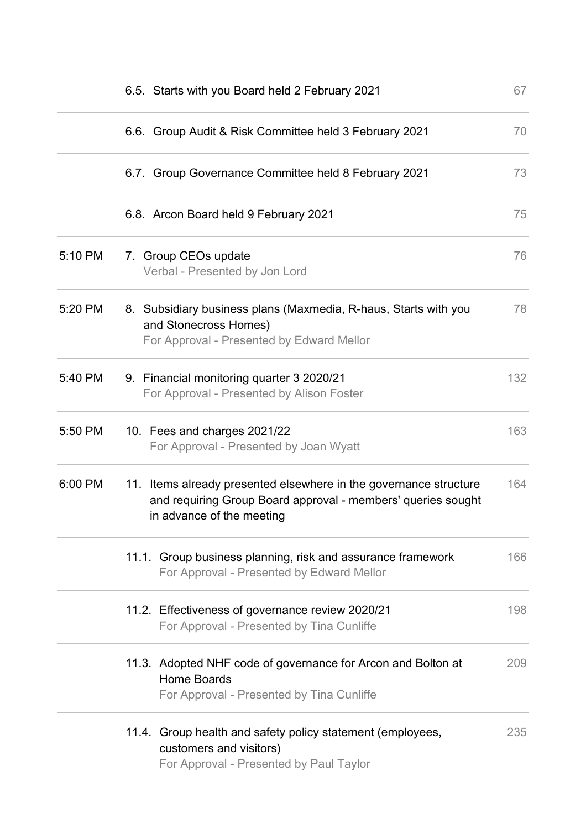|         | 6.5. Starts with you Board held 2 February 2021                                                                                                                | 67  |  |  |
|---------|----------------------------------------------------------------------------------------------------------------------------------------------------------------|-----|--|--|
|         | 6.6. Group Audit & Risk Committee held 3 February 2021                                                                                                         | 70  |  |  |
|         | 6.7. Group Governance Committee held 8 February 2021                                                                                                           | 73  |  |  |
|         | 6.8. Arcon Board held 9 February 2021                                                                                                                          | 75  |  |  |
| 5:10 PM | 7. Group CEOs update<br>Verbal - Presented by Jon Lord                                                                                                         | 76  |  |  |
| 5:20 PM | 8. Subsidiary business plans (Maxmedia, R-haus, Starts with you<br>and Stonecross Homes)<br>For Approval - Presented by Edward Mellor                          | 78  |  |  |
| 5:40 PM | 9. Financial monitoring quarter 3 2020/21<br>For Approval - Presented by Alison Foster                                                                         | 132 |  |  |
| 5:50 PM | 10. Fees and charges 2021/22<br>For Approval - Presented by Joan Wyatt                                                                                         |     |  |  |
| 6:00 PM | 11. Items already presented elsewhere in the governance structure<br>and requiring Group Board approval - members' queries sought<br>in advance of the meeting | 164 |  |  |
|         | 11.1. Group business planning, risk and assurance framework<br>For Approval - Presented by Edward Mellor                                                       | 166 |  |  |
|         | 11.2. Effectiveness of governance review 2020/21<br>For Approval - Presented by Tina Cunliffe                                                                  | 198 |  |  |
|         | 11.3. Adopted NHF code of governance for Arcon and Bolton at<br>Home Boards<br>For Approval - Presented by Tina Cunliffe                                       | 209 |  |  |
|         | 11.4. Group health and safety policy statement (employees,<br>customers and visitors)<br>For Approval - Presented by Paul Taylor                               | 235 |  |  |